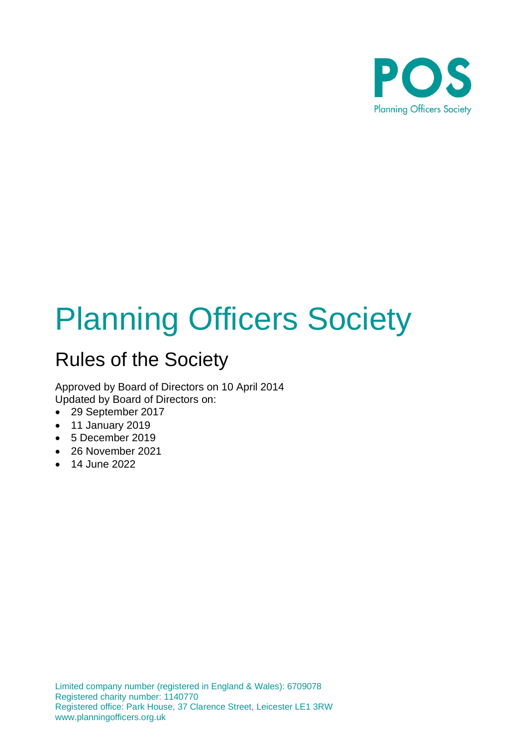

# Planning Officers Society

# Rules of the Society

Approved by Board of Directors on 10 April 2014 Updated by Board of Directors on:

- 29 September 2017
- 11 January 2019
- 5 December 2019
- 26 November 2021
- 14 June 2022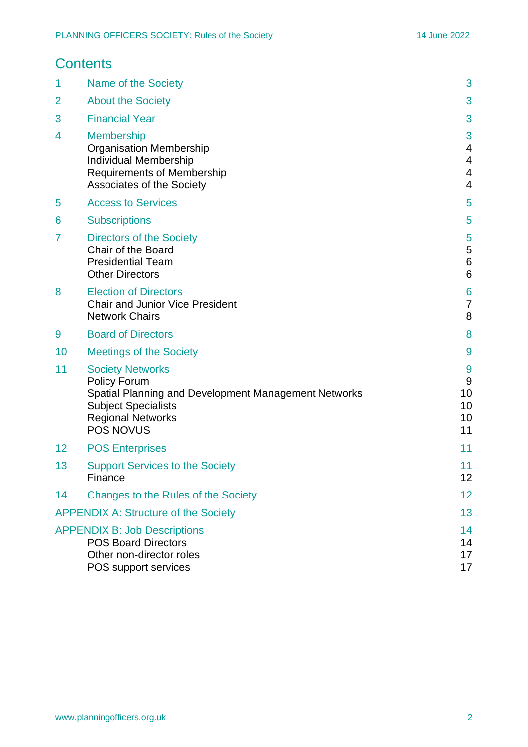|                                             | <b>Contents</b>                                                                                                                                                               |                                             |
|---------------------------------------------|-------------------------------------------------------------------------------------------------------------------------------------------------------------------------------|---------------------------------------------|
| 1                                           | Name of the Society                                                                                                                                                           | 3                                           |
| 2                                           | <b>About the Society</b>                                                                                                                                                      | 3                                           |
| 3                                           | <b>Financial Year</b>                                                                                                                                                         | 3                                           |
| 4                                           | <b>Membership</b><br><b>Organisation Membership</b><br>Individual Membership<br><b>Requirements of Membership</b><br><b>Associates of the Society</b>                         | 3<br>4<br>4<br>$\overline{\mathbf{4}}$<br>4 |
| 5                                           | <b>Access to Services</b>                                                                                                                                                     | 5                                           |
| 6                                           | <b>Subscriptions</b>                                                                                                                                                          | 5                                           |
| 7                                           | <b>Directors of the Society</b><br>Chair of the Board<br><b>Presidential Team</b><br><b>Other Directors</b>                                                                   | 5<br>5<br>$\,6$<br>6                        |
| 8                                           | <b>Election of Directors</b><br><b>Chair and Junior Vice President</b><br><b>Network Chairs</b>                                                                               | 6<br>7<br>8                                 |
| 9                                           | <b>Board of Directors</b>                                                                                                                                                     | 8                                           |
| 10                                          | <b>Meetings of the Society</b>                                                                                                                                                | 9                                           |
| 11                                          | <b>Society Networks</b><br>Policy Forum<br>Spatial Planning and Development Management Networks<br><b>Subject Specialists</b><br><b>Regional Networks</b><br><b>POS NOVUS</b> | 9<br>9<br>10<br>10<br>10<br>11              |
| 12                                          | <b>POS Enterprises</b>                                                                                                                                                        | 11                                          |
| 13                                          | <b>Support Services to the Society</b><br>Finance                                                                                                                             | 11<br>12                                    |
| 14                                          | Changes to the Rules of the Society                                                                                                                                           | 12                                          |
| <b>APPENDIX A: Structure of the Society</b> |                                                                                                                                                                               | 13                                          |
|                                             | <b>APPENDIX B: Job Descriptions</b><br><b>POS Board Directors</b><br>Other non-director roles<br>POS support services                                                         | 14<br>14<br>17<br>17                        |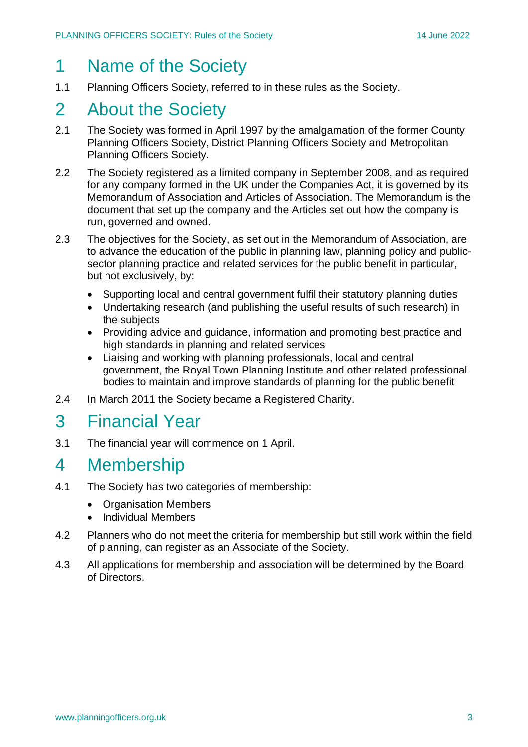# 1 Name of the Society

1.1 Planning Officers Society, referred to in these rules as the Society.

# 2 About the Society

- 2.1 The Society was formed in April 1997 by the amalgamation of the former County Planning Officers Society, District Planning Officers Society and Metropolitan Planning Officers Society.
- 2.2 The Society registered as a limited company in September 2008, and as required for any company formed in the UK under the Companies Act, it is governed by its Memorandum of Association and Articles of Association. The Memorandum is the document that set up the company and the Articles set out how the company is run, governed and owned.
- 2.3 The objectives for the Society, as set out in the Memorandum of Association, are to advance the education of the public in planning law, planning policy and publicsector planning practice and related services for the public benefit in particular, but not exclusively, by:
	- Supporting local and central government fulfil their statutory planning duties
	- Undertaking research (and publishing the useful results of such research) in the subjects
	- Providing advice and guidance, information and promoting best practice and high standards in planning and related services
	- Liaising and working with planning professionals, local and central government, the Royal Town Planning Institute and other related professional bodies to maintain and improve standards of planning for the public benefit
- 2.4 In March 2011 the Society became a Registered Charity.

# 3 Financial Year

3.1 The financial year will commence on 1 April.

# 4 Membership

- 4.1 The Society has two categories of membership:
	- Organisation Members
	- Individual Members
- 4.2 Planners who do not meet the criteria for membership but still work within the field of planning, can register as an Associate of the Society.
- 4.3 All applications for membership and association will be determined by the Board of Directors.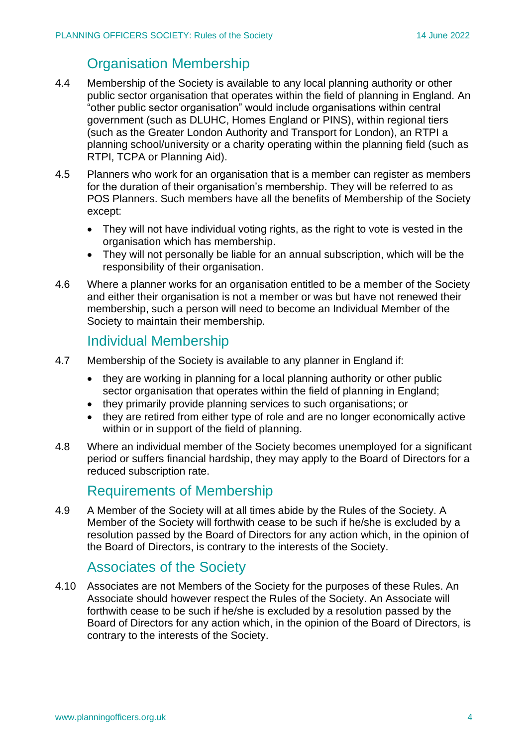# Organisation Membership

- 4.4 Membership of the Society is available to any local planning authority or other public sector organisation that operates within the field of planning in England. An "other public sector organisation" would include organisations within central government (such as DLUHC, Homes England or PINS), within regional tiers (such as the Greater London Authority and Transport for London), an RTPI a planning school/university or a charity operating within the planning field (such as RTPI, TCPA or Planning Aid).
- 4.5 Planners who work for an organisation that is a member can register as members for the duration of their organisation's membership. They will be referred to as POS Planners. Such members have all the benefits of Membership of the Society except:
	- They will not have individual voting rights, as the right to vote is vested in the organisation which has membership.
	- They will not personally be liable for an annual subscription, which will be the responsibility of their organisation.
- 4.6 Where a planner works for an organisation entitled to be a member of the Society and either their organisation is not a member or was but have not renewed their membership, such a person will need to become an Individual Member of the Society to maintain their membership.

### Individual Membership

- 4.7 Membership of the Society is available to any planner in England if:
	- they are working in planning for a local planning authority or other public sector organisation that operates within the field of planning in England;
	- they primarily provide planning services to such organisations; or
	- they are retired from either type of role and are no longer economically active within or in support of the field of planning.
- 4.8 Where an individual member of the Society becomes unemployed for a significant period or suffers financial hardship, they may apply to the Board of Directors for a reduced subscription rate.

### Requirements of Membership

4.9 A Member of the Society will at all times abide by the Rules of the Society. A Member of the Society will forthwith cease to be such if he/she is excluded by a resolution passed by the Board of Directors for any action which, in the opinion of the Board of Directors, is contrary to the interests of the Society.

### Associates of the Society

4.10 Associates are not Members of the Society for the purposes of these Rules. An Associate should however respect the Rules of the Society. An Associate will forthwith cease to be such if he/she is excluded by a resolution passed by the Board of Directors for any action which, in the opinion of the Board of Directors, is contrary to the interests of the Society.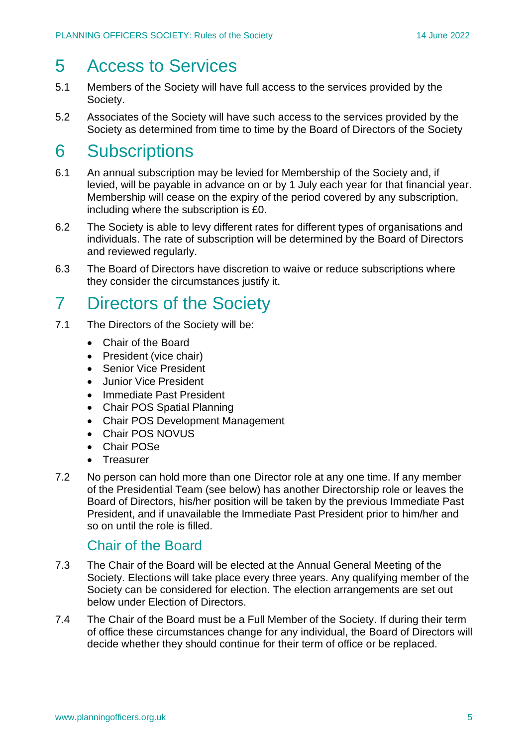# 5 Access to Services

- 5.1 Members of the Society will have full access to the services provided by the Society.
- 5.2 Associates of the Society will have such access to the services provided by the Society as determined from time to time by the Board of Directors of the Society

# 6 Subscriptions

- 6.1 An annual subscription may be levied for Membership of the Society and, if levied, will be payable in advance on or by 1 July each year for that financial year. Membership will cease on the expiry of the period covered by any subscription, including where the subscription is £0.
- 6.2 The Society is able to levy different rates for different types of organisations and individuals. The rate of subscription will be determined by the Board of Directors and reviewed regularly.
- 6.3 The Board of Directors have discretion to waive or reduce subscriptions where they consider the circumstances justify it.

# 7 Directors of the Society

- 7.1 The Directors of the Society will be:
	- Chair of the Board
	- President (vice chair)
	- Senior Vice President
	- Junior Vice President
	- Immediate Past President
	- Chair POS Spatial Planning
	- Chair POS Development Management
	- Chair POS NOVUS
	- Chair POSe
	- Treasurer
- 7.2 No person can hold more than one Director role at any one time. If any member of the Presidential Team (see below) has another Directorship role or leaves the Board of Directors, his/her position will be taken by the previous Immediate Past President, and if unavailable the Immediate Past President prior to him/her and so on until the role is filled.

### Chair of the Board

- 7.3 The Chair of the Board will be elected at the Annual General Meeting of the Society. Elections will take place every three years. Any qualifying member of the Society can be considered for election. The election arrangements are set out below under Election of Directors.
- 7.4 The Chair of the Board must be a Full Member of the Society. If during their term of office these circumstances change for any individual, the Board of Directors will decide whether they should continue for their term of office or be replaced.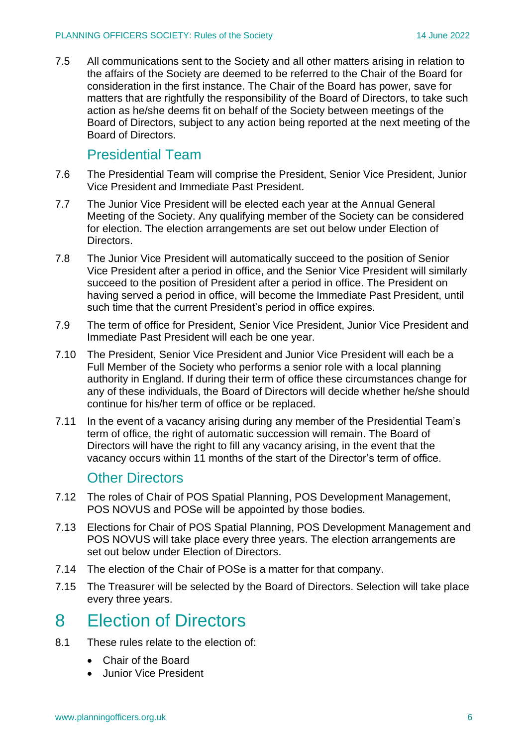7.5 All communications sent to the Society and all other matters arising in relation to the affairs of the Society are deemed to be referred to the Chair of the Board for consideration in the first instance. The Chair of the Board has power, save for matters that are rightfully the responsibility of the Board of Directors, to take such action as he/she deems fit on behalf of the Society between meetings of the Board of Directors, subject to any action being reported at the next meeting of the Board of Directors.

### Presidential Team

- 7.6 The Presidential Team will comprise the President, Senior Vice President, Junior Vice President and Immediate Past President.
- 7.7 The Junior Vice President will be elected each year at the Annual General Meeting of the Society. Any qualifying member of the Society can be considered for election. The election arrangements are set out below under Election of Directors.
- 7.8 The Junior Vice President will automatically succeed to the position of Senior Vice President after a period in office, and the Senior Vice President will similarly succeed to the position of President after a period in office. The President on having served a period in office, will become the Immediate Past President, until such time that the current President's period in office expires.
- 7.9 The term of office for President, Senior Vice President, Junior Vice President and Immediate Past President will each be one year.
- 7.10 The President, Senior Vice President and Junior Vice President will each be a Full Member of the Society who performs a senior role with a local planning authority in England. If during their term of office these circumstances change for any of these individuals, the Board of Directors will decide whether he/she should continue for his/her term of office or be replaced.
- 7.11 In the event of a vacancy arising during any member of the Presidential Team's term of office, the right of automatic succession will remain. The Board of Directors will have the right to fill any vacancy arising, in the event that the vacancy occurs within 11 months of the start of the Director's term of office.

### Other Directors

- 7.12 The roles of Chair of POS Spatial Planning, POS Development Management, POS NOVUS and POSe will be appointed by those bodies.
- 7.13 Elections for Chair of POS Spatial Planning, POS Development Management and POS NOVUS will take place every three years. The election arrangements are set out below under Election of Directors.
- 7.14 The election of the Chair of POSe is a matter for that company.
- 7.15 The Treasurer will be selected by the Board of Directors. Selection will take place every three years.

# 8 Election of Directors

- 8.1 These rules relate to the election of:
	- Chair of the Board
	- Junior Vice President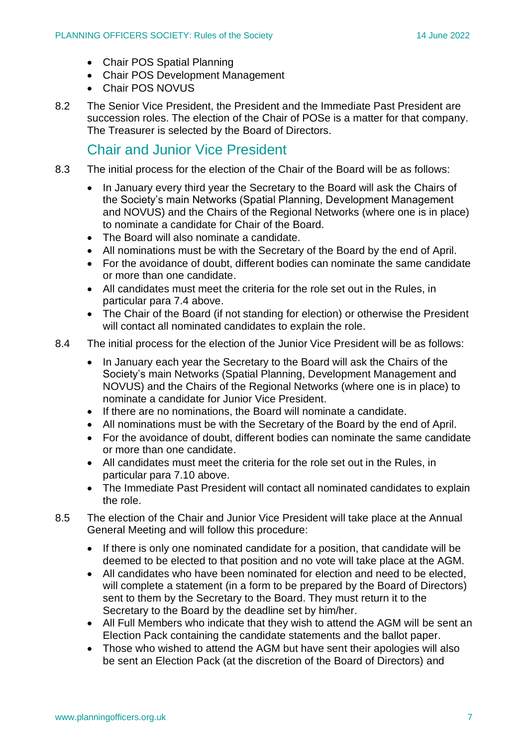- Chair POS Spatial Planning
- Chair POS Development Management
- Chair POS NOVUS
- 8.2 The Senior Vice President, the President and the Immediate Past President are succession roles. The election of the Chair of POSe is a matter for that company. The Treasurer is selected by the Board of Directors.

### Chair and Junior Vice President

- 8.3 The initial process for the election of the Chair of the Board will be as follows:
	- In January every third year the Secretary to the Board will ask the Chairs of the Society's main Networks (Spatial Planning, Development Management and NOVUS) and the Chairs of the Regional Networks (where one is in place) to nominate a candidate for Chair of the Board.
	- The Board will also nominate a candidate.
	- All nominations must be with the Secretary of the Board by the end of April.
	- For the avoidance of doubt, different bodies can nominate the same candidate or more than one candidate.
	- All candidates must meet the criteria for the role set out in the Rules, in particular para 7.4 above.
	- The Chair of the Board (if not standing for election) or otherwise the President will contact all nominated candidates to explain the role.
- 8.4 The initial process for the election of the Junior Vice President will be as follows:
	- In January each year the Secretary to the Board will ask the Chairs of the Society's main Networks (Spatial Planning, Development Management and NOVUS) and the Chairs of the Regional Networks (where one is in place) to nominate a candidate for Junior Vice President.
	- If there are no nominations, the Board will nominate a candidate.
	- All nominations must be with the Secretary of the Board by the end of April.
	- For the avoidance of doubt, different bodies can nominate the same candidate or more than one candidate.
	- All candidates must meet the criteria for the role set out in the Rules, in particular para 7.10 above.
	- The Immediate Past President will contact all nominated candidates to explain the role.
- 8.5 The election of the Chair and Junior Vice President will take place at the Annual General Meeting and will follow this procedure:
	- If there is only one nominated candidate for a position, that candidate will be deemed to be elected to that position and no vote will take place at the AGM.
	- All candidates who have been nominated for election and need to be elected, will complete a statement (in a form to be prepared by the Board of Directors) sent to them by the Secretary to the Board. They must return it to the Secretary to the Board by the deadline set by him/her.
	- All Full Members who indicate that they wish to attend the AGM will be sent an Election Pack containing the candidate statements and the ballot paper.
	- Those who wished to attend the AGM but have sent their apologies will also be sent an Election Pack (at the discretion of the Board of Directors) and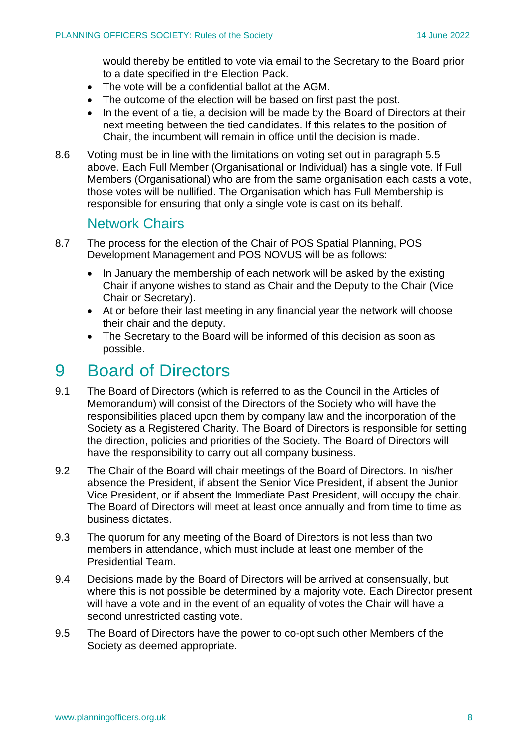would thereby be entitled to vote via email to the Secretary to the Board prior to a date specified in the Election Pack.

- The vote will be a confidential ballot at the AGM.
- The outcome of the election will be based on first past the post.
- In the event of a tie, a decision will be made by the Board of Directors at their next meeting between the tied candidates. If this relates to the position of Chair, the incumbent will remain in office until the decision is made.
- 8.6 Voting must be in line with the limitations on voting set out in paragraph 5.5 above. Each Full Member (Organisational or Individual) has a single vote. If Full Members (Organisational) who are from the same organisation each casts a vote, those votes will be nullified. The Organisation which has Full Membership is responsible for ensuring that only a single vote is cast on its behalf.

### Network Chairs

- 8.7 The process for the election of the Chair of POS Spatial Planning, POS Development Management and POS NOVUS will be as follows:
	- In January the membership of each network will be asked by the existing Chair if anyone wishes to stand as Chair and the Deputy to the Chair (Vice Chair or Secretary).
	- At or before their last meeting in any financial year the network will choose their chair and the deputy.
	- The Secretary to the Board will be informed of this decision as soon as possible.

# 9 Board of Directors

- 9.1 The Board of Directors (which is referred to as the Council in the Articles of Memorandum) will consist of the Directors of the Society who will have the responsibilities placed upon them by company law and the incorporation of the Society as a Registered Charity. The Board of Directors is responsible for setting the direction, policies and priorities of the Society. The Board of Directors will have the responsibility to carry out all company business.
- 9.2 The Chair of the Board will chair meetings of the Board of Directors. In his/her absence the President, if absent the Senior Vice President, if absent the Junior Vice President, or if absent the Immediate Past President, will occupy the chair. The Board of Directors will meet at least once annually and from time to time as business dictates.
- 9.3 The quorum for any meeting of the Board of Directors is not less than two members in attendance, which must include at least one member of the Presidential Team.
- 9.4 Decisions made by the Board of Directors will be arrived at consensually, but where this is not possible be determined by a majority vote. Each Director present will have a vote and in the event of an equality of votes the Chair will have a second unrestricted casting vote.
- 9.5 The Board of Directors have the power to co-opt such other Members of the Society as deemed appropriate.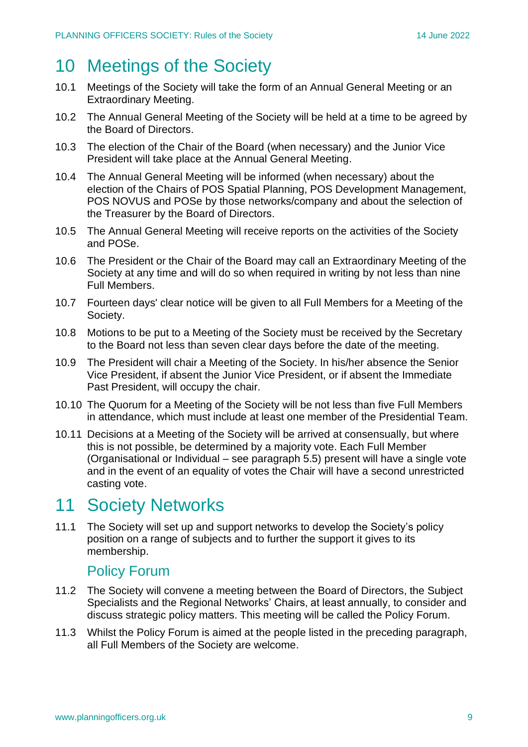# 10 Meetings of the Society

- 10.1 Meetings of the Society will take the form of an Annual General Meeting or an Extraordinary Meeting.
- 10.2 The Annual General Meeting of the Society will be held at a time to be agreed by the Board of Directors.
- 10.3 The election of the Chair of the Board (when necessary) and the Junior Vice President will take place at the Annual General Meeting.
- 10.4 The Annual General Meeting will be informed (when necessary) about the election of the Chairs of POS Spatial Planning, POS Development Management, POS NOVUS and POSe by those networks/company and about the selection of the Treasurer by the Board of Directors.
- 10.5 The Annual General Meeting will receive reports on the activities of the Society and POSe.
- 10.6 The President or the Chair of the Board may call an Extraordinary Meeting of the Society at any time and will do so when required in writing by not less than nine Full Members.
- 10.7 Fourteen days' clear notice will be given to all Full Members for a Meeting of the Society.
- 10.8 Motions to be put to a Meeting of the Society must be received by the Secretary to the Board not less than seven clear days before the date of the meeting.
- 10.9 The President will chair a Meeting of the Society. In his/her absence the Senior Vice President, if absent the Junior Vice President, or if absent the Immediate Past President, will occupy the chair.
- 10.10 The Quorum for a Meeting of the Society will be not less than five Full Members in attendance, which must include at least one member of the Presidential Team.
- 10.11 Decisions at a Meeting of the Society will be arrived at consensually, but where this is not possible, be determined by a majority vote. Each Full Member (Organisational or Individual – see paragraph 5.5) present will have a single vote and in the event of an equality of votes the Chair will have a second unrestricted casting vote.

# 11 Society Networks

11.1 The Society will set up and support networks to develop the Society's policy position on a range of subjects and to further the support it gives to its membership.

### Policy Forum

- 11.2 The Society will convene a meeting between the Board of Directors, the Subject Specialists and the Regional Networks' Chairs, at least annually, to consider and discuss strategic policy matters. This meeting will be called the Policy Forum.
- 11.3 Whilst the Policy Forum is aimed at the people listed in the preceding paragraph, all Full Members of the Society are welcome.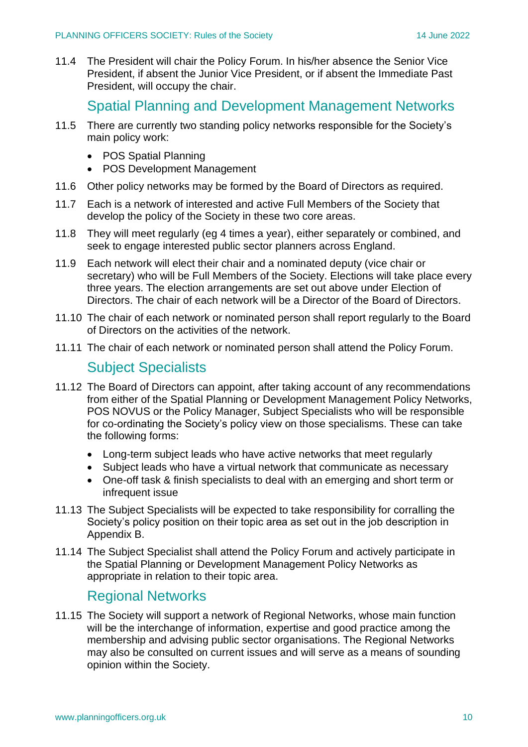11.4 The President will chair the Policy Forum. In his/her absence the Senior Vice President, if absent the Junior Vice President, or if absent the Immediate Past President, will occupy the chair.

### Spatial Planning and Development Management Networks

- 11.5 There are currently two standing policy networks responsible for the Society's main policy work:
	- POS Spatial Planning
	- POS Development Management
- 11.6 Other policy networks may be formed by the Board of Directors as required.
- 11.7 Each is a network of interested and active Full Members of the Society that develop the policy of the Society in these two core areas.
- 11.8 They will meet regularly (eg 4 times a year), either separately or combined, and seek to engage interested public sector planners across England.
- 11.9 Each network will elect their chair and a nominated deputy (vice chair or secretary) who will be Full Members of the Society. Elections will take place every three years. The election arrangements are set out above under Election of Directors. The chair of each network will be a Director of the Board of Directors.
- 11.10 The chair of each network or nominated person shall report regularly to the Board of Directors on the activities of the network.
- 11.11 The chair of each network or nominated person shall attend the Policy Forum.

### Subject Specialists

- 11.12 The Board of Directors can appoint, after taking account of any recommendations from either of the Spatial Planning or Development Management Policy Networks, POS NOVUS or the Policy Manager, Subject Specialists who will be responsible for co-ordinating the Society's policy view on those specialisms. These can take the following forms:
	- Long-term subject leads who have active networks that meet regularly
	- Subject leads who have a virtual network that communicate as necessary
	- One-off task & finish specialists to deal with an emerging and short term or infrequent issue
- 11.13 The Subject Specialists will be expected to take responsibility for corralling the Society's policy position on their topic area as set out in the job description in Appendix B.
- 11.14 The Subject Specialist shall attend the Policy Forum and actively participate in the Spatial Planning or Development Management Policy Networks as appropriate in relation to their topic area.

### Regional Networks

11.15 The Society will support a network of Regional Networks, whose main function will be the interchange of information, expertise and good practice among the membership and advising public sector organisations. The Regional Networks may also be consulted on current issues and will serve as a means of sounding opinion within the Society.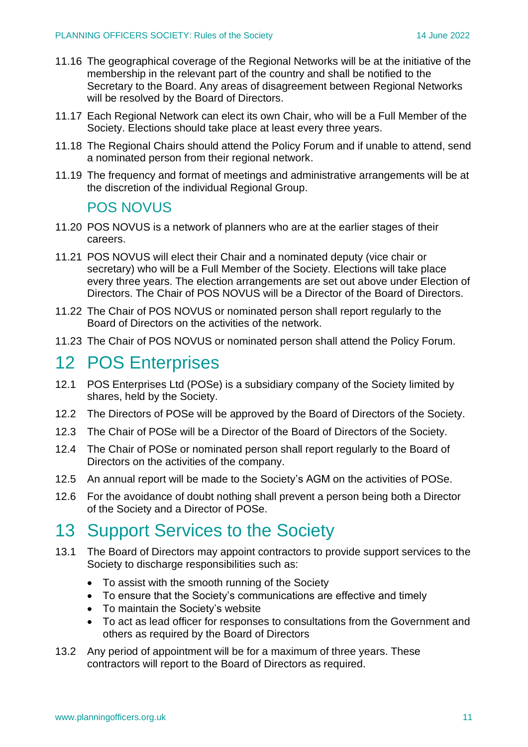- 11.16 The geographical coverage of the Regional Networks will be at the initiative of the membership in the relevant part of the country and shall be notified to the Secretary to the Board. Any areas of disagreement between Regional Networks will be resolved by the Board of Directors.
- 11.17 Each Regional Network can elect its own Chair, who will be a Full Member of the Society. Elections should take place at least every three years.
- 11.18 The Regional Chairs should attend the Policy Forum and if unable to attend, send a nominated person from their regional network.
- 11.19 The frequency and format of meetings and administrative arrangements will be at the discretion of the individual Regional Group.

### POS NOVUS

- 11.20 POS NOVUS is a network of planners who are at the earlier stages of their careers.
- 11.21 POS NOVUS will elect their Chair and a nominated deputy (vice chair or secretary) who will be a Full Member of the Society. Elections will take place every three years. The election arrangements are set out above under Election of Directors. The Chair of POS NOVUS will be a Director of the Board of Directors.
- 11.22 The Chair of POS NOVUS or nominated person shall report regularly to the Board of Directors on the activities of the network.
- 11.23 The Chair of POS NOVUS or nominated person shall attend the Policy Forum.

# 12 POS Enterprises

- 12.1 POS Enterprises Ltd (POSe) is a subsidiary company of the Society limited by shares, held by the Society.
- 12.2 The Directors of POSe will be approved by the Board of Directors of the Society.
- 12.3 The Chair of POSe will be a Director of the Board of Directors of the Society.
- 12.4 The Chair of POSe or nominated person shall report regularly to the Board of Directors on the activities of the company.
- 12.5 An annual report will be made to the Society's AGM on the activities of POSe.
- 12.6 For the avoidance of doubt nothing shall prevent a person being both a Director of the Society and a Director of POSe.

# 13 Support Services to the Society

- 13.1 The Board of Directors may appoint contractors to provide support services to the Society to discharge responsibilities such as:
	- To assist with the smooth running of the Society
	- To ensure that the Society's communications are effective and timely
	- To maintain the Society's website
	- To act as lead officer for responses to consultations from the Government and others as required by the Board of Directors
- 13.2 Any period of appointment will be for a maximum of three years. These contractors will report to the Board of Directors as required.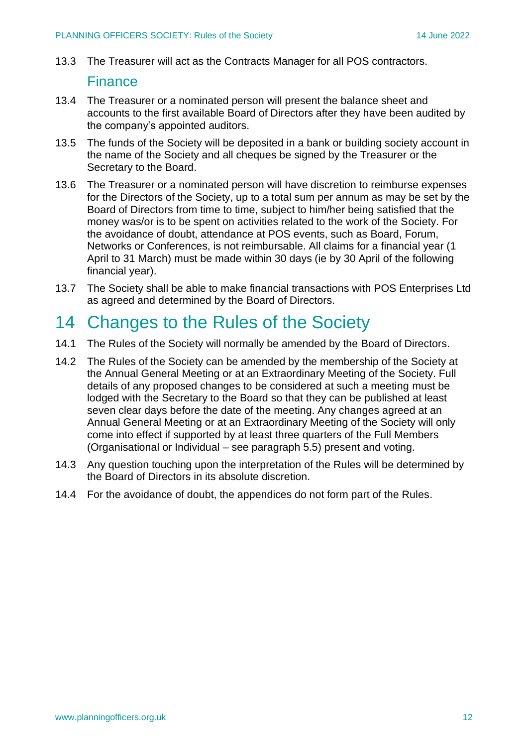13.3 The Treasurer will act as the Contracts Manager for all POS contractors.

#### Finance

- 13.4 The Treasurer or a nominated person will present the balance sheet and accounts to the first available Board of Directors after they have been audited by the company's appointed auditors.
- 13.5 The funds of the Society will be deposited in a bank or building society account in the name of the Society and all cheques be signed by the Treasurer or the Secretary to the Board.
- 13.6 The Treasurer or a nominated person will have discretion to reimburse expenses for the Directors of the Society, up to a total sum per annum as may be set by the Board of Directors from time to time, subject to him/her being satisfied that the money was/or is to be spent on activities related to the work of the Society. For the avoidance of doubt, attendance at POS events, such as Board, Forum, Networks or Conferences, is not reimbursable. All claims for a financial year (1 April to 31 March) must be made within 30 days (ie by 30 April of the following financial year).
- 13.7 The Society shall be able to make financial transactions with POS Enterprises Ltd as agreed and determined by the Board of Directors.

# 14 Changes to the Rules of the Society

- 14.1 The Rules of the Society will normally be amended by the Board of Directors.
- 14.2 The Rules of the Society can be amended by the membership of the Society at the Annual General Meeting or at an Extraordinary Meeting of the Society. Full details of any proposed changes to be considered at such a meeting must be lodged with the Secretary to the Board so that they can be published at least seven clear days before the date of the meeting. Any changes agreed at an Annual General Meeting or at an Extraordinary Meeting of the Society will only come into effect if supported by at least three quarters of the Full Members (Organisational or Individual – see paragraph 5.5) present and voting.
- 14.3 Any question touching upon the interpretation of the Rules will be determined by the Board of Directors in its absolute discretion.
- 14.4 For the avoidance of doubt, the appendices do not form part of the Rules.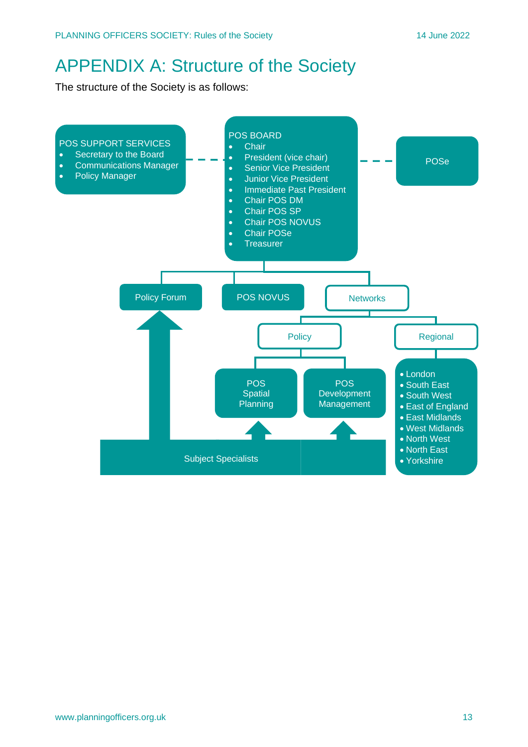# APPENDIX A: Structure of the Society

The structure of the Society is as follows:

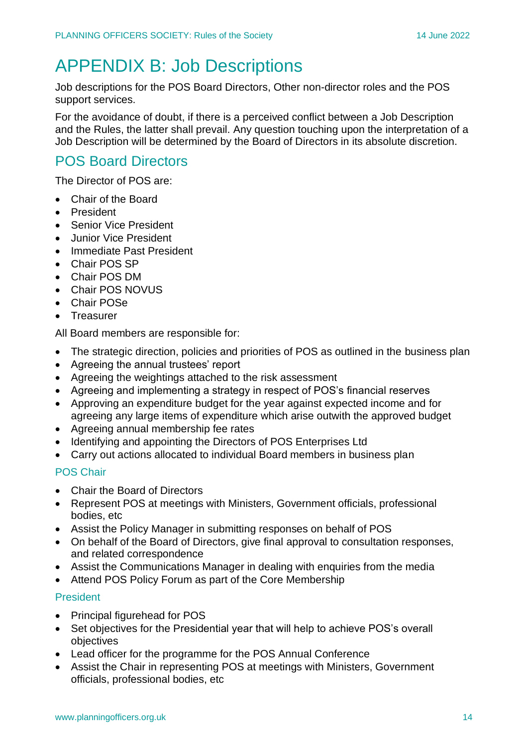# APPENDIX B: Job Descriptions

Job descriptions for the POS Board Directors, Other non-director roles and the POS support services.

For the avoidance of doubt, if there is a perceived conflict between a Job Description and the Rules, the latter shall prevail. Any question touching upon the interpretation of a Job Description will be determined by the Board of Directors in its absolute discretion.

# POS Board Directors

The Director of POS are:

- Chair of the Board
- President
- Senior Vice President
- Junior Vice President
- Immediate Past President
- Chair POS SP
- Chair POS DM
- Chair POS NOVUS
- Chair POSe
- Treasurer

All Board members are responsible for:

- The strategic direction, policies and priorities of POS as outlined in the business plan
- Agreeing the annual trustees' report
- Agreeing the weightings attached to the risk assessment
- Agreeing and implementing a strategy in respect of POS's financial reserves
- Approving an expenditure budget for the year against expected income and for agreeing any large items of expenditure which arise outwith the approved budget
- Agreeing annual membership fee rates
- Identifying and appointing the Directors of POS Enterprises Ltd
- Carry out actions allocated to individual Board members in business plan

#### POS Chair

- Chair the Board of Directors
- Represent POS at meetings with Ministers, Government officials, professional bodies, etc
- Assist the Policy Manager in submitting responses on behalf of POS
- On behalf of the Board of Directors, give final approval to consultation responses, and related correspondence
- Assist the Communications Manager in dealing with enquiries from the media
- Attend POS Policy Forum as part of the Core Membership

#### President

- Principal figurehead for POS
- Set objectives for the Presidential year that will help to achieve POS's overall objectives
- Lead officer for the programme for the POS Annual Conference
- Assist the Chair in representing POS at meetings with Ministers, Government officials, professional bodies, etc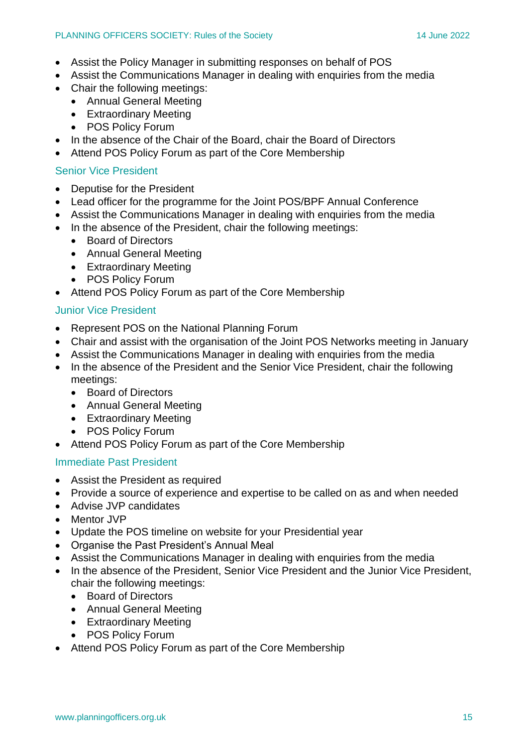- Assist the Policy Manager in submitting responses on behalf of POS
- Assist the Communications Manager in dealing with enquiries from the media
- Chair the following meetings:
	- Annual General Meeting
	- Extraordinary Meeting
	- POS Policy Forum
- In the absence of the Chair of the Board, chair the Board of Directors
- Attend POS Policy Forum as part of the Core Membership

#### Senior Vice President

- Deputise for the President
- Lead officer for the programme for the Joint POS/BPF Annual Conference
- Assist the Communications Manager in dealing with enquiries from the media
- In the absence of the President, chair the following meetings:
	- Board of Directors
	- Annual General Meeting
	- Extraordinary Meeting
	- POS Policy Forum
- Attend POS Policy Forum as part of the Core Membership

#### Junior Vice President

- Represent POS on the National Planning Forum
- Chair and assist with the organisation of the Joint POS Networks meeting in January
- Assist the Communications Manager in dealing with enquiries from the media
- In the absence of the President and the Senior Vice President, chair the following meetings:
	- Board of Directors
	- Annual General Meeting
	- Extraordinary Meeting
	- POS Policy Forum
- Attend POS Policy Forum as part of the Core Membership

#### Immediate Past President

- Assist the President as required
- Provide a source of experience and expertise to be called on as and when needed
- Advise JVP candidates
- Mentor JVP
- Update the POS timeline on website for your Presidential year
- Organise the Past President's Annual Meal
- Assist the Communications Manager in dealing with enquiries from the media
- In the absence of the President, Senior Vice President and the Junior Vice President, chair the following meetings:
	- Board of Directors
	- Annual General Meeting
	- Extraordinary Meeting
	- POS Policy Forum
- Attend POS Policy Forum as part of the Core Membership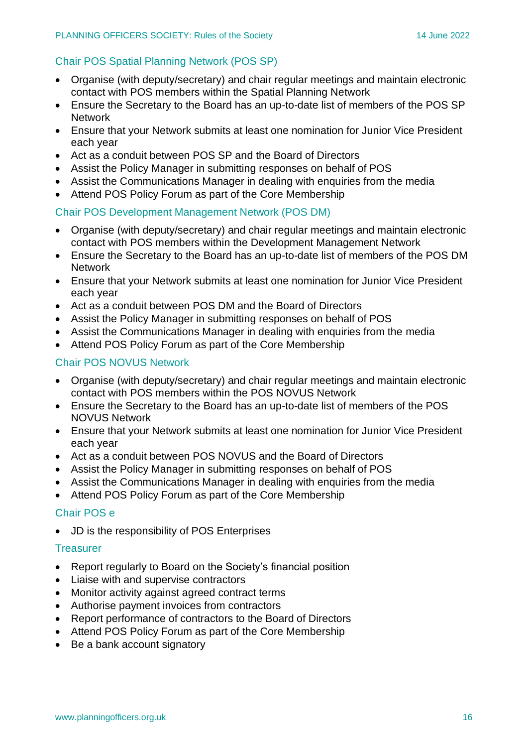### Chair POS Spatial Planning Network (POS SP)

- Organise (with deputy/secretary) and chair regular meetings and maintain electronic contact with POS members within the Spatial Planning Network
- Ensure the Secretary to the Board has an up-to-date list of members of the POS SP **Network**
- Ensure that your Network submits at least one nomination for Junior Vice President each year
- Act as a conduit between POS SP and the Board of Directors
- Assist the Policy Manager in submitting responses on behalf of POS
- Assist the Communications Manager in dealing with enquiries from the media
- Attend POS Policy Forum as part of the Core Membership

#### Chair POS Development Management Network (POS DM)

- Organise (with deputy/secretary) and chair regular meetings and maintain electronic contact with POS members within the Development Management Network
- Ensure the Secretary to the Board has an up-to-date list of members of the POS DM **Network**
- Ensure that your Network submits at least one nomination for Junior Vice President each year
- Act as a conduit between POS DM and the Board of Directors
- Assist the Policy Manager in submitting responses on behalf of POS
- Assist the Communications Manager in dealing with enquiries from the media
- Attend POS Policy Forum as part of the Core Membership

#### Chair POS NOVUS Network

- Organise (with deputy/secretary) and chair regular meetings and maintain electronic contact with POS members within the POS NOVUS Network
- Ensure the Secretary to the Board has an up-to-date list of members of the POS NOVUS Network
- Ensure that your Network submits at least one nomination for Junior Vice President each year
- Act as a conduit between POS NOVUS and the Board of Directors
- Assist the Policy Manager in submitting responses on behalf of POS
- Assist the Communications Manager in dealing with enquiries from the media
- Attend POS Policy Forum as part of the Core Membership

#### Chair POS e

• JD is the responsibility of POS Enterprises

#### **Treasurer**

- Report regularly to Board on the Society's financial position
- Liaise with and supervise contractors
- Monitor activity against agreed contract terms
- Authorise payment invoices from contractors
- Report performance of contractors to the Board of Directors
- Attend POS Policy Forum as part of the Core Membership
- Be a bank account signatory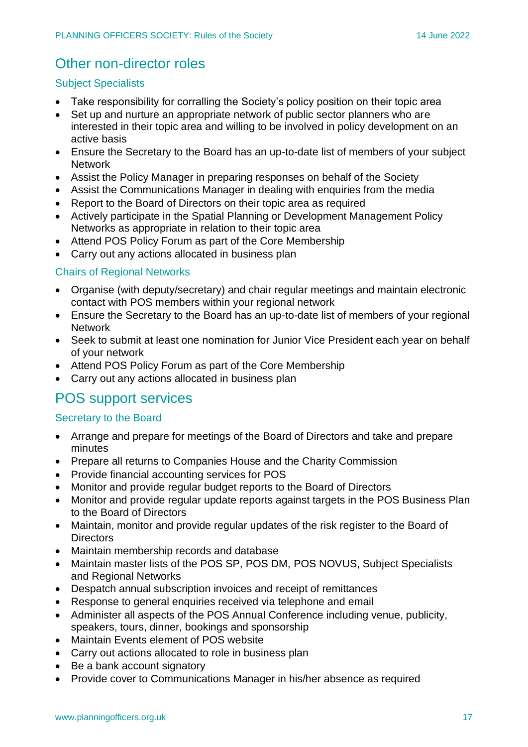### Other non-director roles

#### Subject Specialists

- Take responsibility for corralling the Society's policy position on their topic area
- Set up and nurture an appropriate network of public sector planners who are interested in their topic area and willing to be involved in policy development on an active basis
- Ensure the Secretary to the Board has an up-to-date list of members of your subject **Network**
- Assist the Policy Manager in preparing responses on behalf of the Society
- Assist the Communications Manager in dealing with enquiries from the media
- Report to the Board of Directors on their topic area as required
- Actively participate in the Spatial Planning or Development Management Policy Networks as appropriate in relation to their topic area
- Attend POS Policy Forum as part of the Core Membership
- Carry out any actions allocated in business plan

#### Chairs of Regional Networks

- Organise (with deputy/secretary) and chair regular meetings and maintain electronic contact with POS members within your regional network
- Ensure the Secretary to the Board has an up-to-date list of members of your regional **Network**
- Seek to submit at least one nomination for Junior Vice President each year on behalf of your network
- Attend POS Policy Forum as part of the Core Membership
- Carry out any actions allocated in business plan

### POS support services

#### Secretary to the Board

- Arrange and prepare for meetings of the Board of Directors and take and prepare minutes
- Prepare all returns to Companies House and the Charity Commission
- Provide financial accounting services for POS
- Monitor and provide regular budget reports to the Board of Directors
- Monitor and provide regular update reports against targets in the POS Business Plan to the Board of Directors
- Maintain, monitor and provide regular updates of the risk register to the Board of **Directors**
- Maintain membership records and database
- Maintain master lists of the POS SP, POS DM, POS NOVUS, Subject Specialists and Regional Networks
- Despatch annual subscription invoices and receipt of remittances
- Response to general enquiries received via telephone and email
- Administer all aspects of the POS Annual Conference including venue, publicity, speakers, tours, dinner, bookings and sponsorship
- Maintain Events element of POS website
- Carry out actions allocated to role in business plan
- Be a bank account signatory
- Provide cover to Communications Manager in his/her absence as required